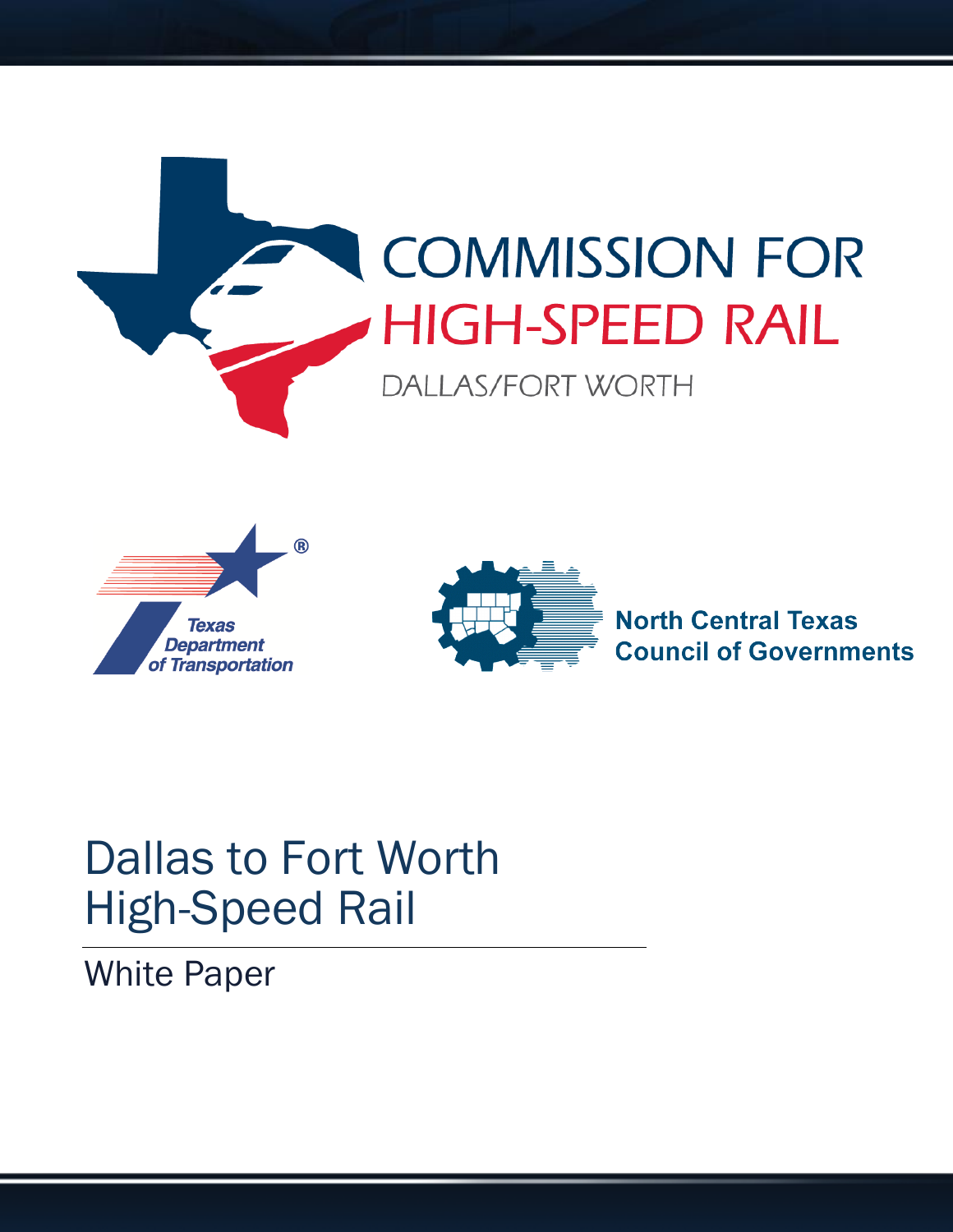





# Dallas to Fort Worth High-Speed Rail

White Paper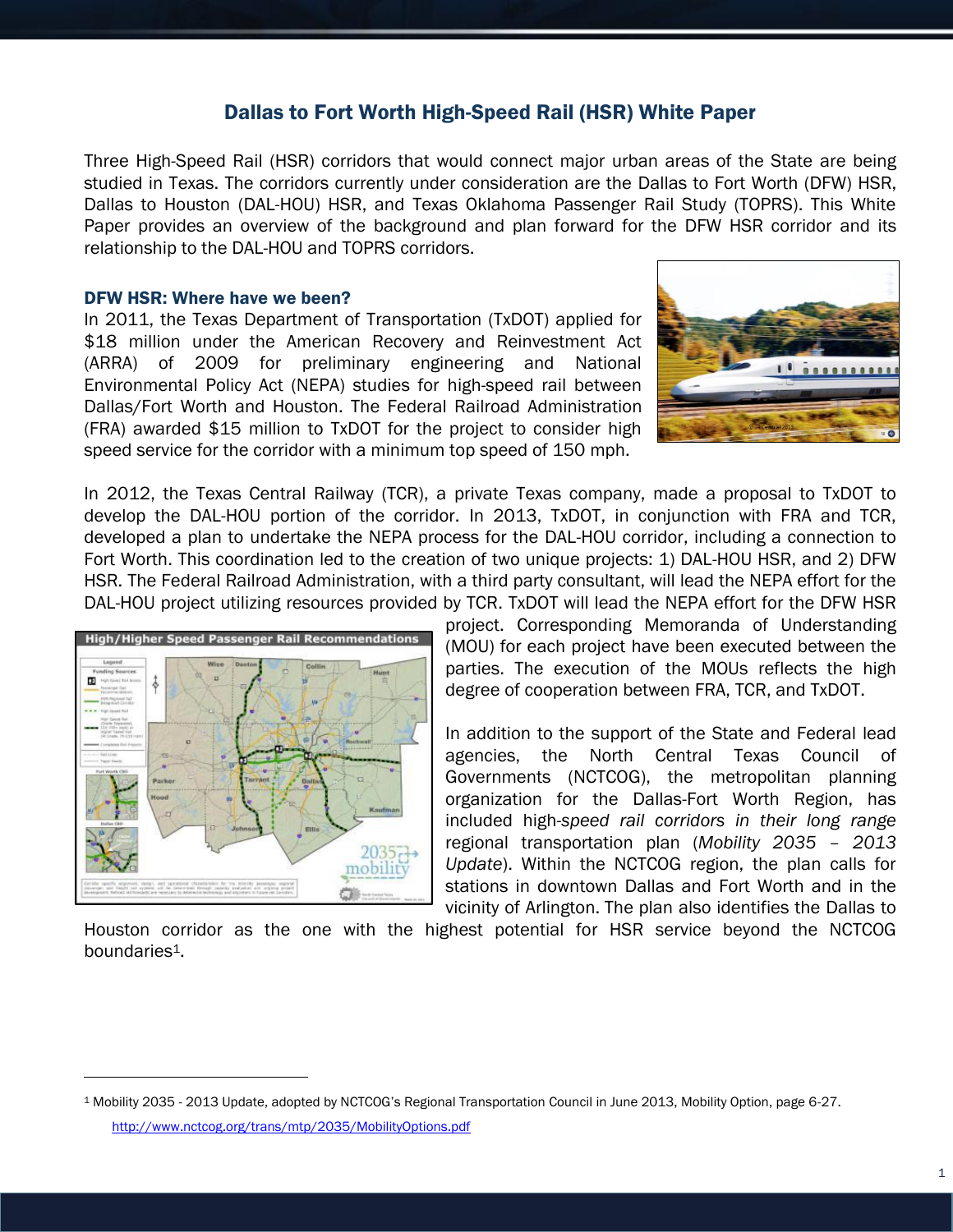### Dallas to Fort Worth High-Speed Rail (HSR) White Paper

Three High-Speed Rail (HSR) corridors that would connect major urban areas of the State are being studied in Texas. The corridors currently under consideration are the Dallas to Fort Worth (DFW) HSR, Dallas to Houston (DAL-HOU) HSR, and Texas Oklahoma Passenger Rail Study (TOPRS). This White Paper provides an overview of the background and plan forward for the DFW HSR corridor and its relationship to the DAL-HOU and TOPRS corridors.

#### DFW HSR: Where have we been?

In 2011, the Texas Department of Transportation (TxDOT) applied for \$18 million under the American Recovery and Reinvestment Act (ARRA) of 2009 for preliminary engineering and National Environmental Policy Act (NEPA) studies for high-speed rail between Dallas/Fort Worth and Houston. The Federal Railroad Administration (FRA) awarded \$15 million to TxDOT for the project to consider high speed service for the corridor with a minimum top speed of 150 mph.



In 2012, the Texas Central Railway (TCR), a private Texas company, made a proposal to TxDOT to develop the DAL-HOU portion of the corridor. In 2013, TxDOT, in conjunction with FRA and TCR, developed a plan to undertake the NEPA process for the DAL-HOU corridor, including a connection to Fort Worth. This coordination led to the creation of two unique projects: 1) DAL-HOU HSR, and 2) DFW HSR. The Federal Railroad Administration, with a third party consultant, will lead the NEPA effort for the DAL-HOU project utilizing resources provided by TCR. TxDOT will lead the NEPA effort for the DFW HSR



project. Corresponding Memoranda of Understanding (MOU) for each project have been executed between the parties. The execution of the MOUs reflects the high degree of cooperation between FRA, TCR, and TxDOT.

In addition to the support of the State and Federal lead agencies, the North Central Texas Council of Governments (NCTCOG), the metropolitan planning organization for the Dallas-Fort Worth Region, has included high-*speed rail corridors in their long range* regional transportation plan (*Mobility 2035 – 2013 Update*). Within the NCTCOG region, the plan calls for stations in downtown Dallas and Fort Worth and in the vicinity of Arlington. The plan also identifies the Dallas to

Houston corridor as the one with the highest potential for HSR service beyond the NCTCOG boundaries<sup>1</sup>.

 $\overline{a}$ 

<sup>1</sup> Mobility 2035 - 2013 Update, adopted by NCTCOG's Regional Transportation Council in June 2013, Mobility Option, page 6-27.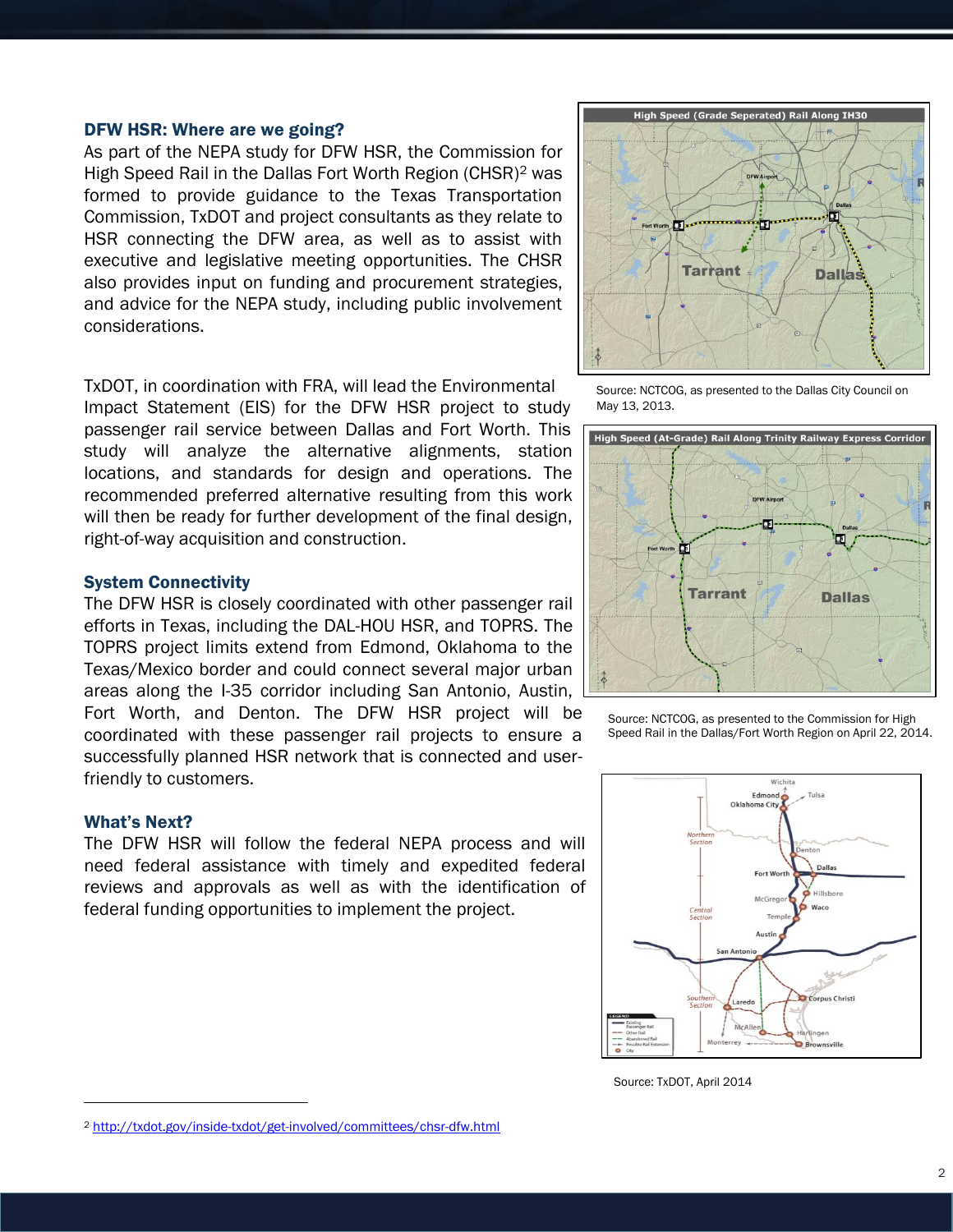#### DFW HSR: Where are we going?

As part of the NEPA study for DFW HSR, the Commission for High Speed Rail in the Dallas Fort Worth Region (CHSR)<sup>2</sup> was formed to provide guidance to the Texas Transportation Commission, TxDOT and project consultants as they relate to HSR connecting the DFW area, as well as to assist with executive and legislative meeting opportunities. The CHSR also provides input on funding and procurement strategies, and advice for the NEPA study, including public involvement considerations.

TxDOT, in coordination with FRA, will lead the Environmental

Impact Statement (EIS) for the DFW HSR project to study passenger rail service between Dallas and Fort Worth. This study will analyze the alternative alignments, station locations, and standards for design and operations. The recommended preferred alternative resulting from this work will then be ready for further development of the final design, right-of-way acquisition and construction.



Source: NCTCOG, as presented to the Dallas City Council on May 13, 2013.



Source: NCTCOG, as presented to the Commission for High Speed Rail in the Dallas/Fort Worth Region on April 22, 2014.



Source: TxDOT, April 2014

#### System Connectivity

The DFW HSR is closely coordinated with other passenger rail efforts in Texas, including the DAL-HOU HSR, and TOPRS. The TOPRS project limits extend from Edmond, Oklahoma to the Texas/Mexico border and could connect several major urban areas along the I-35 corridor including San Antonio, Austin, Fort Worth, and Denton. The DFW HSR project will be coordinated with these passenger rail projects to ensure a successfully planned HSR network that is connected and userfriendly to customers.

#### What's Next?

l

The DFW HSR will follow the federal NEPA process and will need federal assistance with timely and expedited federal reviews and approvals as well as with the identification of federal funding opportunities to implement the project.

<sup>2</sup> <http://txdot.gov/inside-txdot/get-involved/committees/chsr-dfw.html>